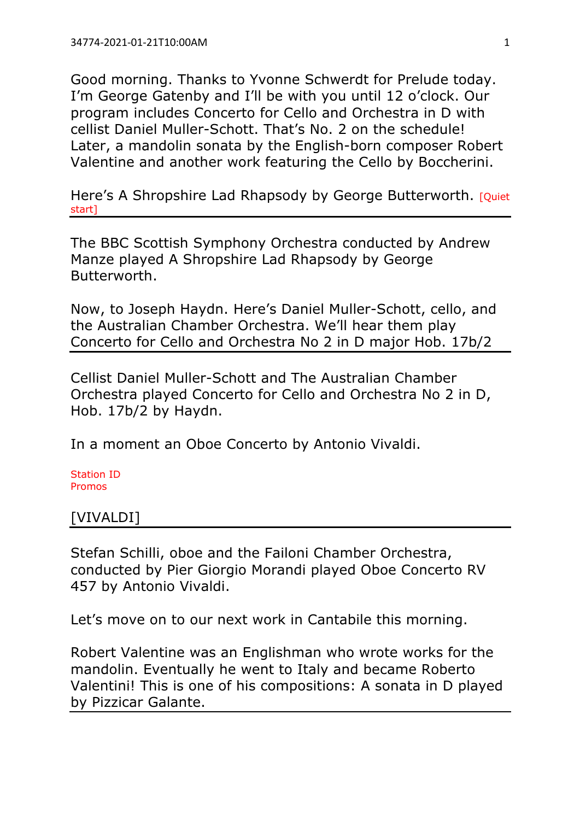Good morning. Thanks to Yvonne Schwerdt for Prelude today. I'm George Gatenby and I'll be with you until 12 o'clock. Our program includes Concerto for Cello and Orchestra in D with cellist Daniel Muller-Schott. That's No. 2 on the schedule! Later, a mandolin sonata by the English-born composer Robert Valentine and another work featuring the Cello by Boccherini.

Here's A Shropshire Lad Rhapsody by George Butterworth. [Quiet] start]

The BBC Scottish Symphony Orchestra conducted by Andrew Manze played A Shropshire Lad Rhapsody by George Butterworth.

Now, to Joseph Haydn. Here's Daniel Muller-Schott, cello, and the Australian Chamber Orchestra. We'll hear them play Concerto for Cello and Orchestra No 2 in D major Hob. 17b/2

Cellist Daniel Muller-Schott and The Australian Chamber Orchestra played Concerto for Cello and Orchestra No 2 in D, Hob. 17b/2 by Haydn.

In a moment an Oboe Concerto by Antonio Vivaldi.

Station ID Promos

## [VIVALDI]

Stefan Schilli, oboe and the Failoni Chamber Orchestra, conducted by Pier Giorgio Morandi played Oboe Concerto RV 457 by Antonio Vivaldi.

Let's move on to our next work in Cantabile this morning.

Robert Valentine was an Englishman who wrote works for the mandolin. Eventually he went to Italy and became Roberto Valentini! This is one of his compositions: A sonata in D played by Pizzicar Galante.